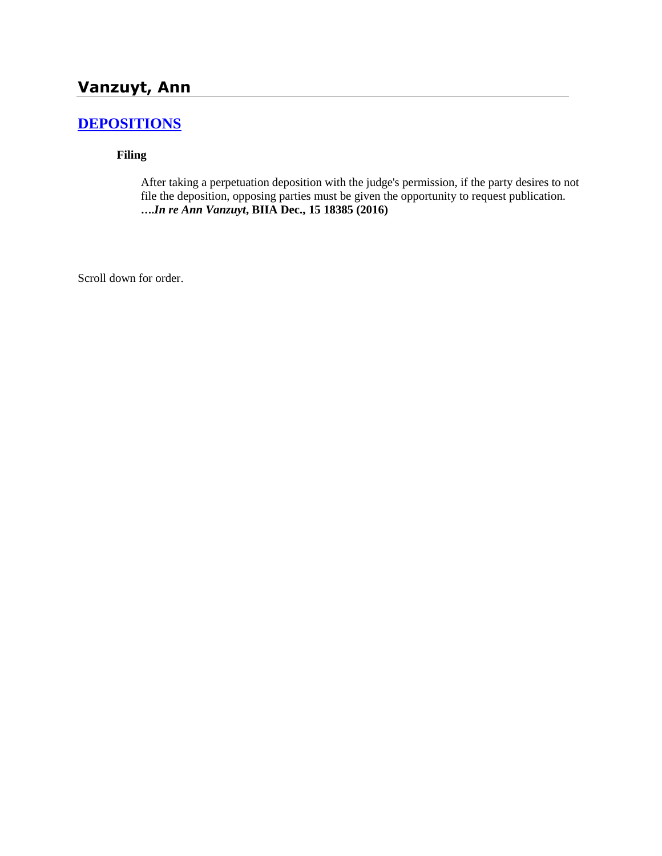# **[DEPOSITIONS](http://www.biia.wa.gov/SDSubjectIndex.html#DEPOSITIONS)**

**Filing**

After taking a perpetuation deposition with the judge's permission, if the party desires to not file the deposition, opposing parties must be given the opportunity to request publication. **….***In re Ann Vanzuyt***, BIIA Dec., 15 18385 (2016)**

Scroll down for order.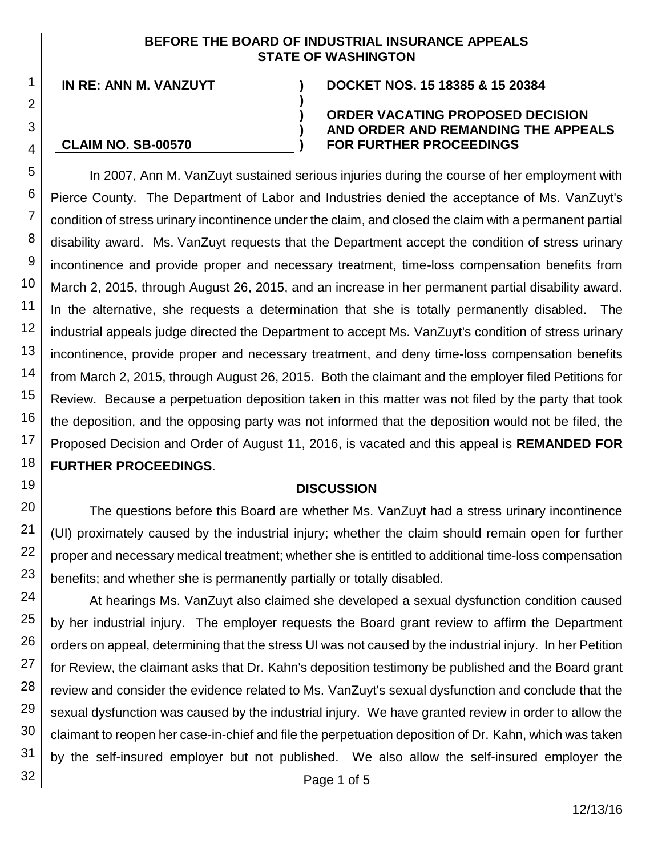### **BEFORE THE BOARD OF INDUSTRIAL INSURANCE APPEALS STATE OF WASHINGTON**

**) )**

**IN RE: ANN M. VANZUYT ) DOCKET NOS. 15 18385 & 15 20384**

**CLAIM NO. SB-00570**

# **)**

#### **) ORDER VACATING PROPOSED DECISION AND ORDER AND REMANDING THE APPEALS FOR FURTHER PROCEEDINGS**

In 2007, Ann M. VanZuyt sustained serious injuries during the course of her employment with Pierce County. The Department of Labor and Industries denied the acceptance of Ms. VanZuyt's condition of stress urinary incontinence under the claim, and closed the claim with a permanent partial disability award. Ms. VanZuyt requests that the Department accept the condition of stress urinary incontinence and provide proper and necessary treatment, time-loss compensation benefits from March 2, 2015, through August 26, 2015, and an increase in her permanent partial disability award. In the alternative, she requests a determination that she is totally permanently disabled. The industrial appeals judge directed the Department to accept Ms. VanZuyt's condition of stress urinary incontinence, provide proper and necessary treatment, and deny time-loss compensation benefits from March 2, 2015, through August 26, 2015. Both the claimant and the employer filed Petitions for Review. Because a perpetuation deposition taken in this matter was not filed by the party that took the deposition, and the opposing party was not informed that the deposition would not be filed, the Proposed Decision and Order of August 11, 2016, is vacated and this appeal is **REMANDED FOR FURTHER PROCEEDINGS**.

# **DISCUSSION**

The questions before this Board are whether Ms. VanZuyt had a stress urinary incontinence (UI) proximately caused by the industrial injury; whether the claim should remain open for further proper and necessary medical treatment; whether she is entitled to additional time-loss compensation benefits; and whether she is permanently partially or totally disabled.

At hearings Ms. VanZuyt also claimed she developed a sexual dysfunction condition caused by her industrial injury. The employer requests the Board grant review to affirm the Department orders on appeal, determining that the stress UI was not caused by the industrial injury. In her Petition for Review, the claimant asks that Dr. Kahn's deposition testimony be published and the Board grant review and consider the evidence related to Ms. VanZuyt's sexual dysfunction and conclude that the sexual dysfunction was caused by the industrial injury. We have granted review in order to allow the claimant to reopen her case-in-chief and file the perpetuation deposition of Dr. Kahn, which was taken by the self-insured employer but not published. We also allow the self-insured employer the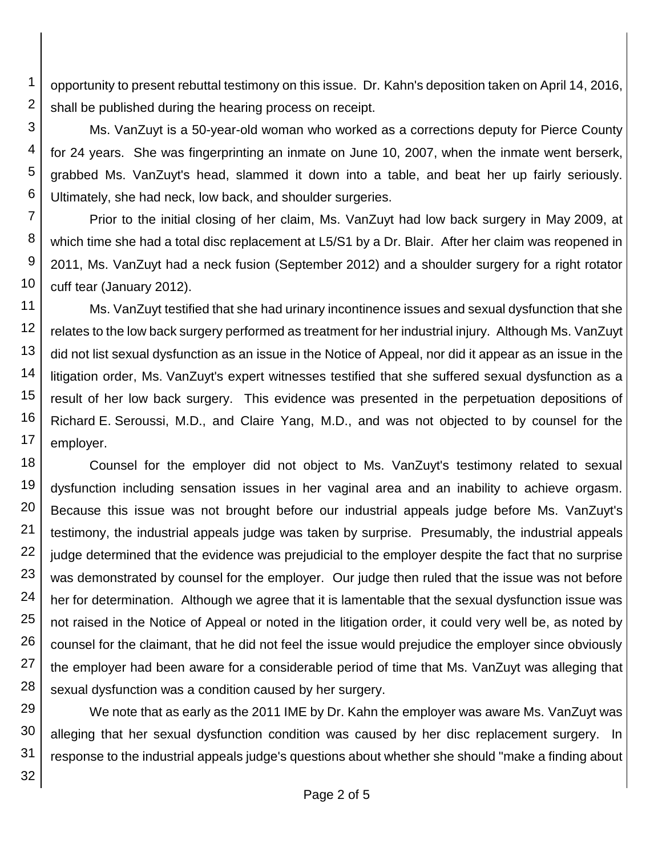1 2 opportunity to present rebuttal testimony on this issue. Dr. Kahn's deposition taken on April 14, 2016, shall be published during the hearing process on receipt.

Ms. VanZuyt is a 50-year-old woman who worked as a corrections deputy for Pierce County for 24 years. She was fingerprinting an inmate on June 10, 2007, when the inmate went berserk, grabbed Ms. VanZuyt's head, slammed it down into a table, and beat her up fairly seriously. Ultimately, she had neck, low back, and shoulder surgeries.

7 8 9 10 Prior to the initial closing of her claim, Ms. VanZuyt had low back surgery in May 2009, at which time she had a total disc replacement at L5/S1 by a Dr. Blair. After her claim was reopened in 2011, Ms. VanZuyt had a neck fusion (September 2012) and a shoulder surgery for a right rotator cuff tear (January 2012).

11 12 13 14 15 16 17 Ms. VanZuyt testified that she had urinary incontinence issues and sexual dysfunction that she relates to the low back surgery performed as treatment for her industrial injury. Although Ms. VanZuyt did not list sexual dysfunction as an issue in the Notice of Appeal, nor did it appear as an issue in the litigation order, Ms. VanZuyt's expert witnesses testified that she suffered sexual dysfunction as a result of her low back surgery. This evidence was presented in the perpetuation depositions of Richard E. Seroussi, M.D., and Claire Yang, M.D., and was not objected to by counsel for the employer.

18 19 20 21 22 23 24 25 26 27 28 Counsel for the employer did not object to Ms. VanZuyt's testimony related to sexual dysfunction including sensation issues in her vaginal area and an inability to achieve orgasm. Because this issue was not brought before our industrial appeals judge before Ms. VanZuyt's testimony, the industrial appeals judge was taken by surprise. Presumably, the industrial appeals judge determined that the evidence was prejudicial to the employer despite the fact that no surprise was demonstrated by counsel for the employer. Our judge then ruled that the issue was not before her for determination. Although we agree that it is lamentable that the sexual dysfunction issue was not raised in the Notice of Appeal or noted in the litigation order, it could very well be, as noted by counsel for the claimant, that he did not feel the issue would prejudice the employer since obviously the employer had been aware for a considerable period of time that Ms. VanZuyt was alleging that sexual dysfunction was a condition caused by her surgery.

29 30 31 We note that as early as the 2011 IME by Dr. Kahn the employer was aware Ms. VanZuyt was alleging that her sexual dysfunction condition was caused by her disc replacement surgery. In response to the industrial appeals judge's questions about whether she should "make a finding about

3

4

5

6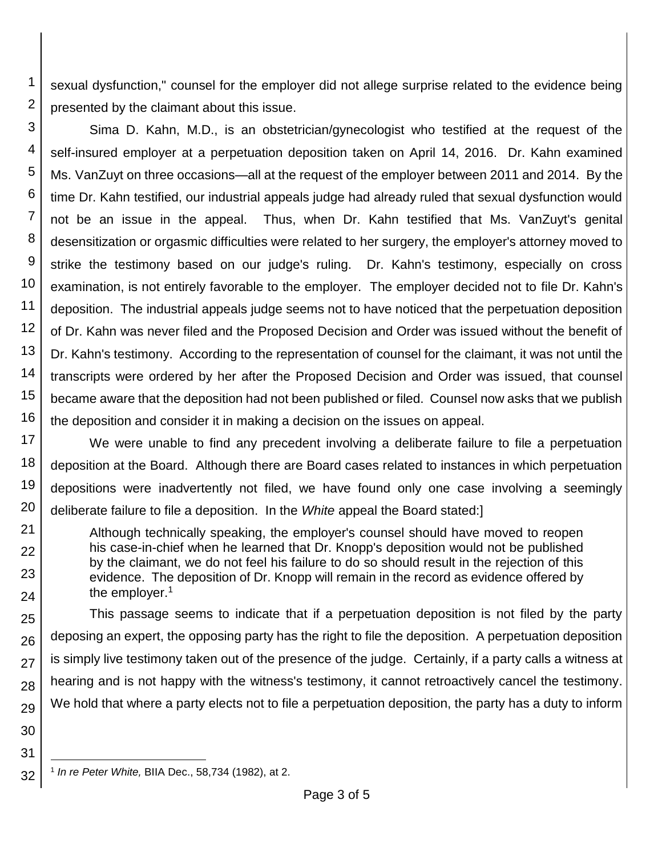1 2 sexual dysfunction," counsel for the employer did not allege surprise related to the evidence being presented by the claimant about this issue.

3 4 5 6 7 8 9 10 11 12 13 14 15 16 Sima D. Kahn, M.D., is an obstetrician/gynecologist who testified at the request of the self-insured employer at a perpetuation deposition taken on April 14, 2016. Dr. Kahn examined Ms. VanZuyt on three occasions—all at the request of the employer between 2011 and 2014. By the time Dr. Kahn testified, our industrial appeals judge had already ruled that sexual dysfunction would not be an issue in the appeal. Thus, when Dr. Kahn testified that Ms. VanZuyt's genital desensitization or orgasmic difficulties were related to her surgery, the employer's attorney moved to strike the testimony based on our judge's ruling. Dr. Kahn's testimony, especially on cross examination, is not entirely favorable to the employer. The employer decided not to file Dr. Kahn's deposition. The industrial appeals judge seems not to have noticed that the perpetuation deposition of Dr. Kahn was never filed and the Proposed Decision and Order was issued without the benefit of Dr. Kahn's testimony. According to the representation of counsel for the claimant, it was not until the transcripts were ordered by her after the Proposed Decision and Order was issued, that counsel became aware that the deposition had not been published or filed. Counsel now asks that we publish the deposition and consider it in making a decision on the issues on appeal.

17 18 19 20 We were unable to find any precedent involving a deliberate failure to file a perpetuation deposition at the Board. Although there are Board cases related to instances in which perpetuation depositions were inadvertently not filed, we have found only one case involving a seemingly deliberate failure to file a deposition. In the *White* appeal the Board stated:]

Although technically speaking, the employer's counsel should have moved to reopen his case-in-chief when he learned that Dr. Knopp's deposition would not be published by the claimant, we do not feel his failure to do so should result in the rejection of this evidence. The deposition of Dr. Knopp will remain in the record as evidence offered by the employer.<sup>1</sup>

25 26 27 28 29 This passage seems to indicate that if a perpetuation deposition is not filed by the party deposing an expert, the opposing party has the right to file the deposition. A perpetuation deposition is simply live testimony taken out of the presence of the judge. Certainly, if a party calls a witness at hearing and is not happy with the witness's testimony, it cannot retroactively cancel the testimony. We hold that where a party elects not to file a perpetuation deposition, the party has a duty to inform

21

22

23

24

30

31

l

<sup>32</sup> 1 *In re Peter White,* BIIA Dec., 58,734 (1982), at 2.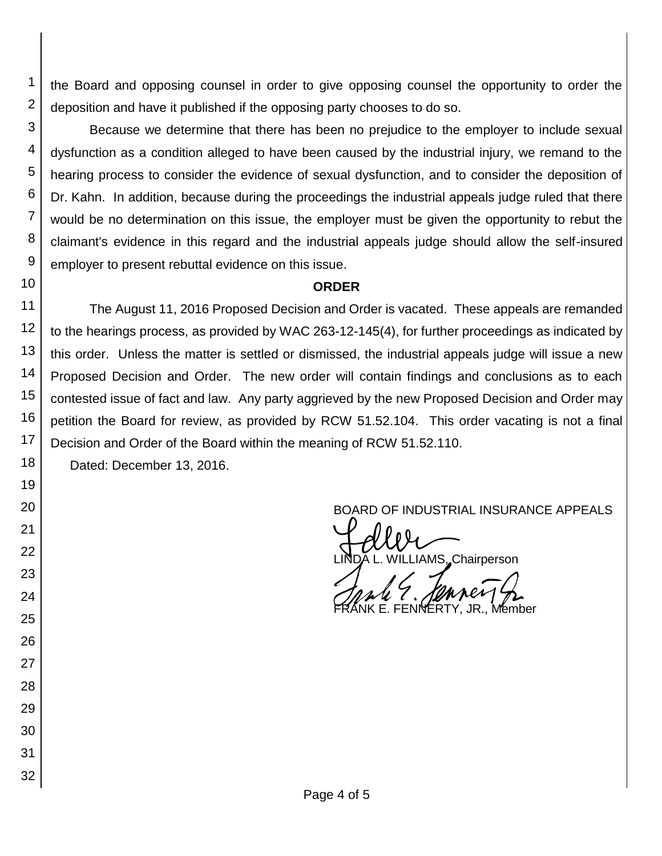the Board and opposing counsel in order to give opposing counsel the opportunity to order the deposition and have it published if the opposing party chooses to do so.

3 4 Because we determine that there has been no prejudice to the employer to include sexual dysfunction as a condition alleged to have been caused by the industrial injury, we remand to the hearing process to consider the evidence of sexual dysfunction, and to consider the deposition of Dr. Kahn. In addition, because during the proceedings the industrial appeals judge ruled that there would be no determination on this issue, the employer must be given the opportunity to rebut the claimant's evidence in this regard and the industrial appeals judge should allow the self-insured employer to present rebuttal evidence on this issue.

# **ORDER**

11 12 13 14 15 16 17 18 The August 11, 2016 Proposed Decision and Order is vacated. These appeals are remanded to the hearings process, as provided by WAC 263-12-145(4), for further proceedings as indicated by this order. Unless the matter is settled or dismissed, the industrial appeals judge will issue a new Proposed Decision and Order. The new order will contain findings and conclusions as to each contested issue of fact and law. Any party aggrieved by the new Proposed Decision and Order may petition the Board for review, as provided by RCW 51.52.104. This order vacating is not a final Decision and Order of the Board within the meaning of RCW 51.52.110.

Dated: December 13, 2016.

1

2

5

6 7

8

9 10

19

20

21

22

23

24

25

26

27

28 29

30

31

32

BOARD OF INDUSTRIAL INSURANCE APPEALS<br>
UNDA L. WILLIAMS, Chairperson **MS, Chairperson** 

JR., Member